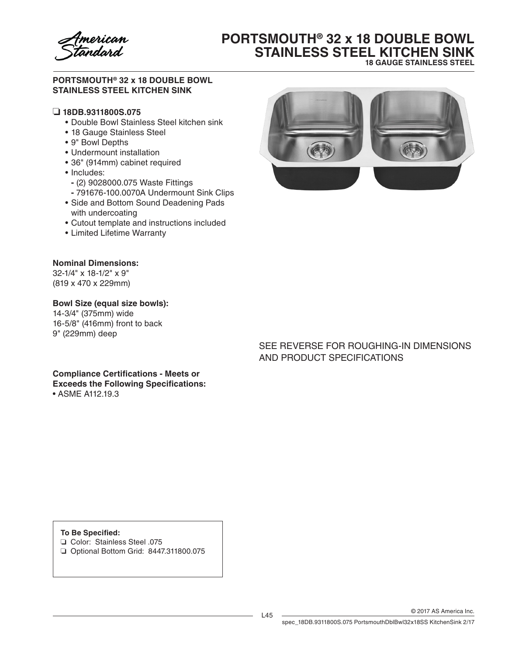

# **PORTSMOUTH® 32 x 18 DOUBLE BOWL STAINLESS STEEL KITCHEN SINK 18 GAUGE STAINLESS STEEL**

### **PORTSMOUTH® 32 x 18 DOUBLE BOWL STAINLESS STEEL KITCHEN SINK**

### ❏ **18DB.9311800S.075**

- • Double Bowl Stainless Steel kitchen sink
- 18 Gauge Stainless Steel
- • 9" Bowl Depths
- Undermount installation
- • 36" (914mm) cabinet required
- Includes:
	- **-** (2) 9028000.075 Waste Fittings
	- **-** 791676-100.0070A Undermount Sink Clips
- • Side and Bottom Sound Deadening Pads with undercoating
- • Cutout template and instructions included
- • Limited Lifetime Warranty

### **Nominal Dimensions:**

32-1/4" x 18-1/2" x 9" (819 x 470 x 229mm)

#### **Bowl Size (equal size bowls):**

14-3/4" (375mm) wide 16-5/8" (416mm) front to back 9" (229mm) deep



## SEE REVERSE FOR ROUGHING-IN DIMENSIONS AND PRODUCT SPECIFICATIONS

**Compliance Certifications - Meets or Exceeds the Following Specifications:** • ASME A112.19.3

**To Be Specified:**

- ❏ Color: Stainless Steel .075
- ❏ Optional Bottom Grid: 8447.311800.075